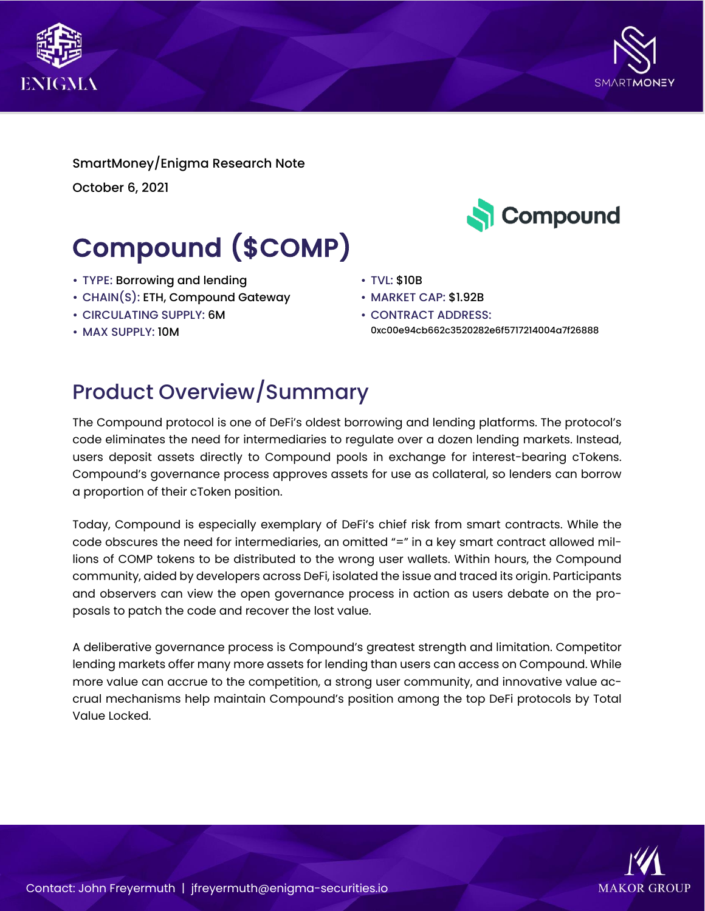



SmartMoney/Enigma Research Note October 6, 2021

# Compound (\$COMP)

- TYPE: Borrowing and lending
- CHAIN(S): ETH, Compound Gateway
- CIRCULATING SUPPLY: 6M
- MAX SUPPLY: 10M
- TVL: \$10B
- MARKET CAP: \$1.92B
- CONTRACT ADDRESS: 0xc00e94cb662c3520282e6f5717214004a7f26888

Compound

# Product Overview/Summary

The Compound protocol is one of DeFi's oldest borrowing and lending platforms. The protocol's code eliminates the need for intermediaries to regulate over a dozen lending markets. Instead, users deposit assets directly to Compound pools in exchange for interest-bearing cTokens. Compound's governance process approves assets for use as collateral, so lenders can borrow a proportion of their cToken position.

Today, Compound is especially exemplary of DeFi's chief risk from smart contracts. While the code obscures the need for intermediaries, an omitted "=" in a key smart contract allowed millions of COMP tokens to be distributed to the wrong user wallets. Within hours, the Compound community, aided by developers across DeFi, isolated the issue and traced its origin. Participants and observers can view the open governance process in action as users debate on the proposals to patch the code and recover the lost value.

A deliberative governance process is Compound's greatest strength and limitation. Competitor lending markets offer many more assets for lending than users can access on Compound. While more value can accrue to the competition, a strong user community, and innovative value accrual mechanisms help maintain Compound's position among the top DeFi protocols by Total Value Locked.

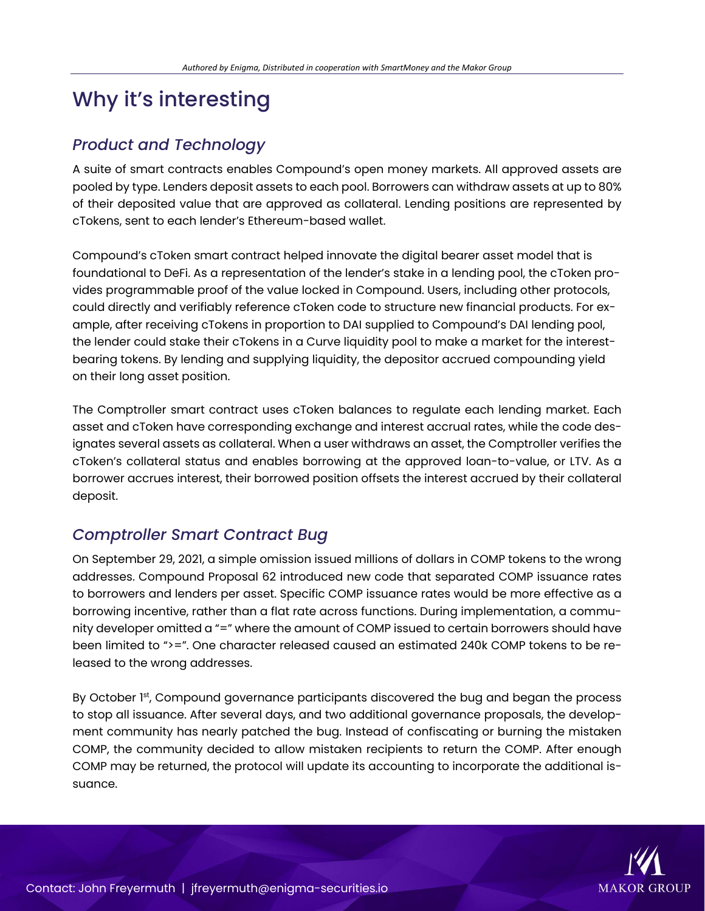# Why it's interesting

#### *Product and Technology*

A suite of smart contracts enables Compound's open money markets. All approved assets are pooled by type. Lenders deposit assets to each pool. Borrowers can withdraw assets at up to 80% of their deposited value that are approved as collateral. Lending positions are represented by cTokens, sent to each lender's Ethereum-based wallet.

Compound's cToken smart contract helped innovate the digital bearer asset model that is foundational to DeFi. As a representation of the lender's stake in a lending pool, the cToken provides programmable proof of the value locked in Compound. Users, including other protocols, could directly and verifiably reference cToken code to structure new financial products. For example, after receiving cTokens in proportion to DAI supplied to Compound's DAI lending pool, the lender could stake their cTokens in a Curve liquidity pool to make a market for the interestbearing tokens. By lending and supplying liquidity, the depositor accrued compounding yield on their long asset position.

The Comptroller smart contract uses cToken balances to regulate each lending market. Each asset and cToken have corresponding exchange and interest accrual rates, while the code designates several assets as collateral. When a user withdraws an asset, the Comptroller verifies the cToken's collateral status and enables borrowing at the approved loan-to-value, or LTV. As a borrower accrues interest, their borrowed position offsets the interest accrued by their collateral deposit.

#### *Comptroller Smart Contract Bug*

On September 29, 2021, a simple omission issued millions of dollars in COMP tokens to the wrong addresses. Compound Proposal 62 introduced new code that separated COMP issuance rates to borrowers and lenders per asset. Specific COMP issuance rates would be more effective as a borrowing incentive, rather than a flat rate across functions. During implementation, a community developer omitted a "=" where the amount of COMP issued to certain borrowers should have been limited to ">=". One character released caused an estimated 240k COMP tokens to be released to the wrong addresses.

By October 1st, Compound governance participants discovered the bug and began the process to stop all issuance. After several days, and two additional governance proposals, the development community has nearly patched the bug. Instead of confiscating or burning the mistaken COMP, the community decided to allow mistaken recipients to return the COMP. After enough COMP may be returned, the protocol will update its accounting to incorporate the additional issuance.

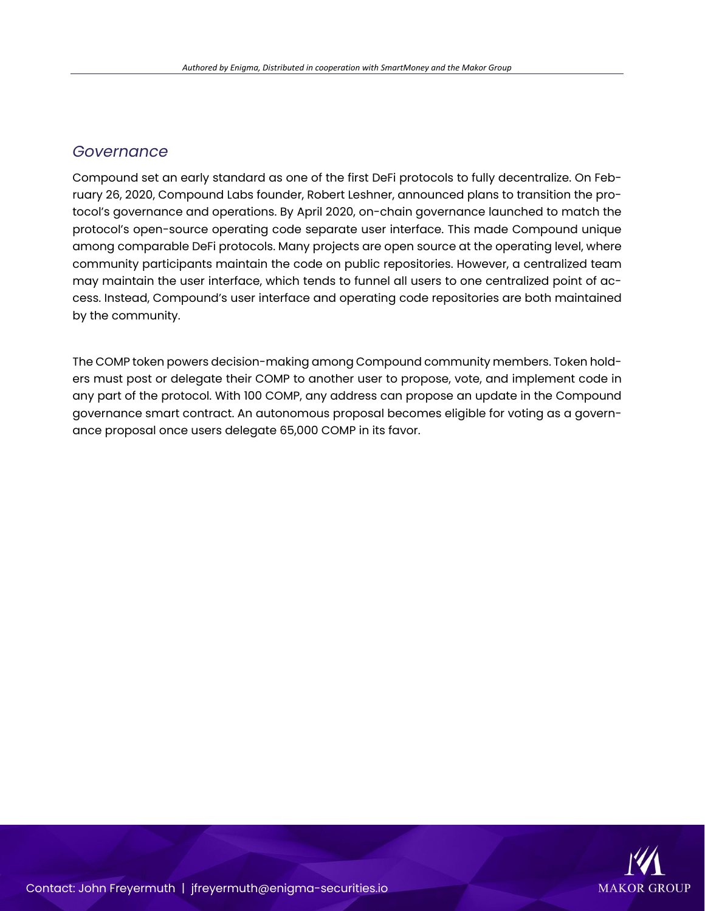#### *Governance*

Compound set an early standard as one of the first DeFi protocols to fully decentralize. On February 26, 2020, Compound Labs founder, Robert Leshner, announced plans to transition the protocol's governance and operations. By April 2020, on-chain governance launched to match the protocol's open-source operating code separate user interface. This made Compound unique among comparable DeFi protocols. Many projects are open source at the operating level, where community participants maintain the code on public repositories. However, a centralized team may maintain the user interface, which tends to funnel all users to one centralized point of access. Instead, Compound's user interface and operating code repositories are both maintained by the community.

The COMP token powers decision-making among Compound community members. Token holders must post or delegate their COMP to another user to propose, vote, and implement code in any part of the protocol. With 100 COMP, any address can propose an update in the Compound governance smart contract. An autonomous proposal becomes eligible for voting as a governance proposal once users delegate 65,000 COMP in its favor.



Contact: John Freyermuth | jfreyermuth@enigma-securities.io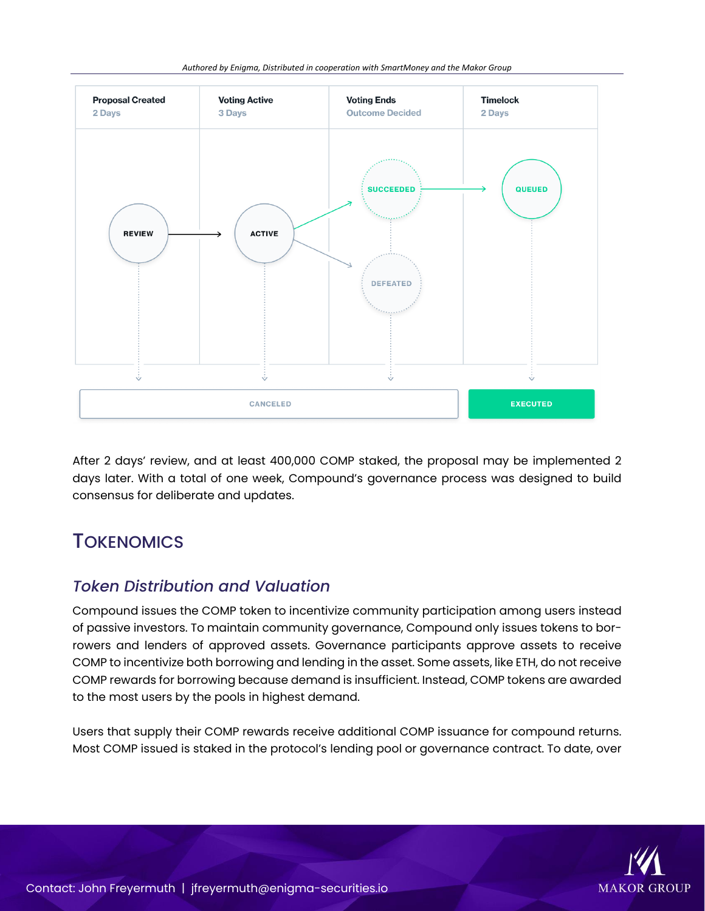

After 2 days' review, and at least 400,000 COMP staked, the proposal may be implemented 2 days later. With a total of one week, Compound's governance process was designed to build consensus for deliberate and updates.

### **TOKENOMICS**

#### *Token Distribution and Valuation*

Compound issues the COMP token to incentivize community participation among users instead of passive investors. To maintain community governance, Compound only issues tokens to borrowers and lenders of approved assets. Governance participants approve assets to receive COMP to incentivize both borrowing and lending in the asset. Some assets, like ETH, do not receive COMP rewards for borrowing because demand is insufficient. Instead, COMP tokens are awarded to the most users by the pools in highest demand.

Users that supply their COMP rewards receive additional COMP issuance for compound returns. Most COMP issued is staked in the protocol's lending pool or governance contract. To date, over

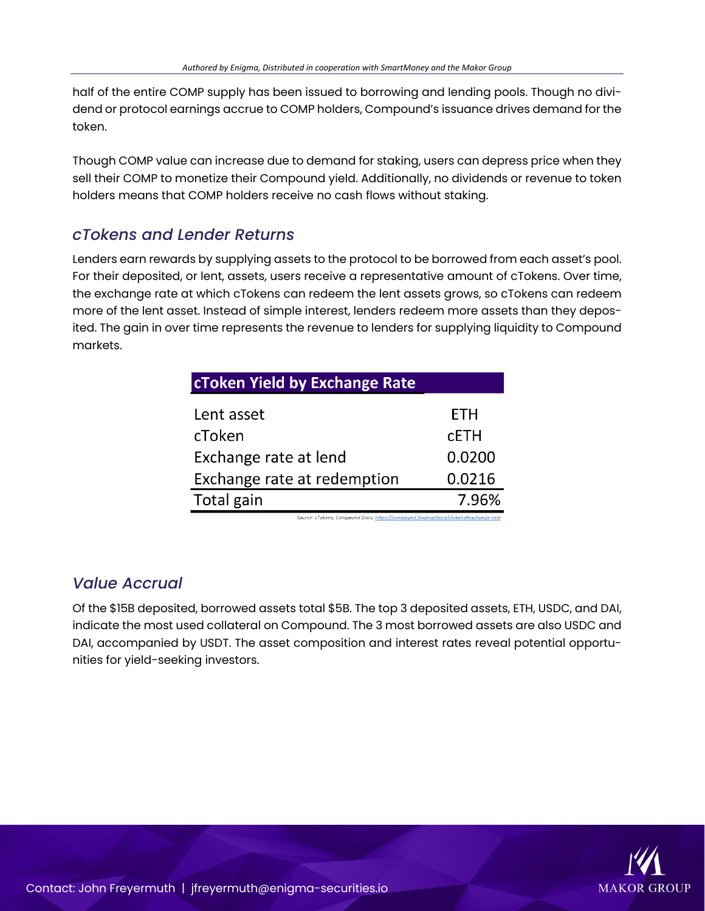half of the entire COMP supply has been issued to borrowing and lending pools. Though no dividend or protocol earnings accrue to COMP holders, Compound's issuance drives demand for the token.

Though COMP value can increase due to demand for staking, users can depress price when they sell their COMP to monetize their Compound yield. Additionally, no dividends or revenue to token holders means that COMP holders receive no cash flows without staking.

#### *cTokens and Lender Returns*

Lenders earn rewards by supplying assets to the protocol to be borrowed from each asset's pool. For their deposited, or lent, assets, users receive a representative amount of cTokens. Over time, the exchange rate at which cTokens can redeem the lent assets grows, so cTokens can redeem more of the lent asset. Instead of simple interest, lenders redeem more assets than they deposited. The gain in over time represents the revenue to lenders for supplying liquidity to Compound markets.

| <b>cToken Yield by Exchange Rate</b> |             |
|--------------------------------------|-------------|
| Lent asset                           | ETH         |
| cToken                               | <b>CETH</b> |
| Exchange rate at lend                | 0.0200      |
| Exchange rate at redemption          | 0.0216      |
| Total gain                           | 7 96%       |

Source: cTokens, Compound Docs: https://compound.finance/docs/ctokensffexchange-rate

#### *Value Accrual*

Of the \$15B deposited, borrowed assets total \$5B. The top 3 deposited assets, ETH, USDC, and DAI, indicate the most used collateral on Compound. The 3 most borrowed assets are also USDC and DAI, accompanied by USDT. The asset composition and interest rates reveal potential opportunities for yield-seeking investors.

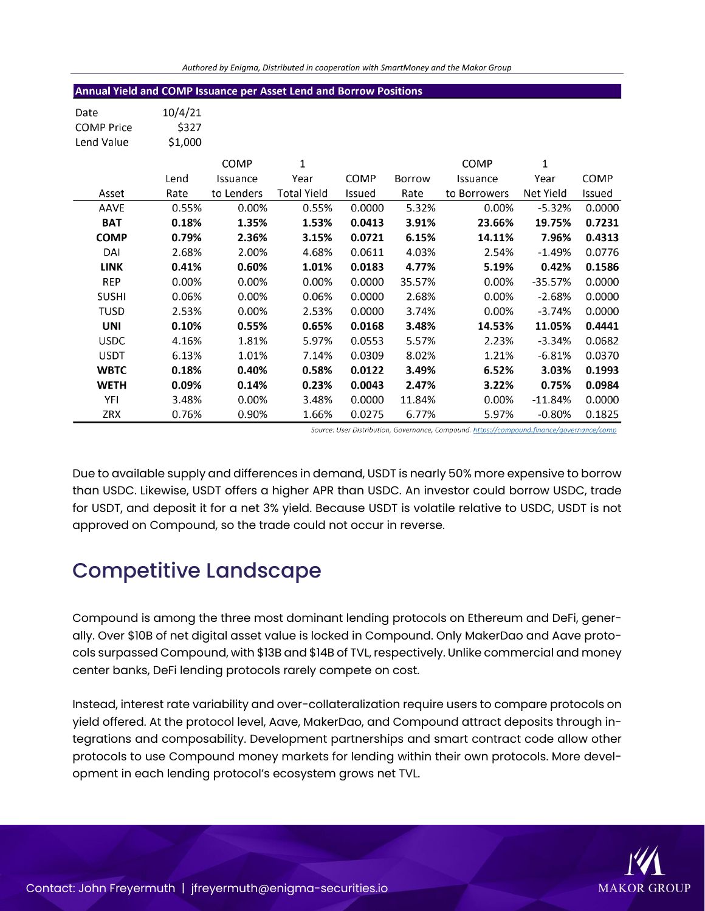|  |  | Authored by Enigma, Distributed in cooperation with SmartMoney and the Makor Group |  |
|--|--|------------------------------------------------------------------------------------|--|
|--|--|------------------------------------------------------------------------------------|--|

| <b>Annual Yield and COMP Issuance per Asset Lend and Borrow Positions</b> |                             |             |                    |        |        |              |              |        |
|---------------------------------------------------------------------------|-----------------------------|-------------|--------------------|--------|--------|--------------|--------------|--------|
| Date<br><b>COMP Price</b><br>Lend Value                                   | 10/4/21<br>\$327<br>\$1,000 |             |                    |        |        |              |              |        |
|                                                                           |                             | <b>COMP</b> | 1                  |        |        | <b>COMP</b>  | $\mathbf{1}$ |        |
|                                                                           | Lend                        | Issuance    | Year               | COMP   | Borrow | Issuance     | Year         | COMP   |
| Asset                                                                     | Rate                        | to Lenders  | <b>Total Yield</b> | Issued | Rate   | to Borrowers | Net Yield    | Issued |
| AAVE                                                                      | 0.55%                       | 0.00%       | 0.55%              | 0.0000 | 5.32%  | 0.00%        | $-5.32%$     | 0.0000 |
| <b>BAT</b>                                                                | 0.18%                       | 1.35%       | 1.53%              | 0.0413 | 3.91%  | 23.66%       | 19.75%       | 0.7231 |
| <b>COMP</b>                                                               | 0.79%                       | 2.36%       | 3.15%              | 0.0721 | 6.15%  | 14.11%       | 7.96%        | 0.4313 |
| DAI                                                                       | 2.68%                       | 2.00%       | 4.68%              | 0.0611 | 4.03%  | 2.54%        | $-1.49%$     | 0.0776 |
| <b>LINK</b>                                                               | 0.41%                       | 0.60%       | 1.01%              | 0.0183 | 4.77%  | 5.19%        | 0.42%        | 0.1586 |
| REP                                                                       | 0.00%                       | 0.00%       | 0.00%              | 0.0000 | 35.57% | 0.00%        | $-35.57%$    | 0.0000 |
| <b>SUSHI</b>                                                              | 0.06%                       | 0.00%       | 0.06%              | 0.0000 | 2.68%  | 0.00%        | $-2.68%$     | 0.0000 |
| TUSD                                                                      | 2.53%                       | 0.00%       | 2.53%              | 0.0000 | 3.74%  | 0.00%        | $-3.74%$     | 0.0000 |
| <b>UNI</b>                                                                | 0.10%                       | 0.55%       | 0.65%              | 0.0168 | 3.48%  | 14.53%       | 11.05%       | 0.4441 |
| <b>USDC</b>                                                               | 4.16%                       | 1.81%       | 5.97%              | 0.0553 | 5.57%  | 2.23%        | $-3.34%$     | 0.0682 |
| <b>USDT</b>                                                               | 6.13%                       | 1.01%       | 7.14%              | 0.0309 | 8.02%  | 1.21%        | $-6.81%$     | 0.0370 |
| <b>WBTC</b>                                                               | 0.18%                       | 0.40%       | 0.58%              | 0.0122 | 3.49%  | 6.52%        | 3.03%        | 0.1993 |
| <b>WETH</b>                                                               | 0.09%                       | 0.14%       | 0.23%              | 0.0043 | 2.47%  | 3.22%        | 0.75%        | 0.0984 |
| YFI                                                                       | 3.48%                       | 0.00%       | 3.48%              | 0.0000 | 11.84% | 0.00%        | $-11.84%$    | 0.0000 |
| ZRX                                                                       | 0.76%                       | 0.90%       | 1.66%              | 0.0275 | 6.77%  | 5.97%        | $-0.80%$     | 0.1825 |

Source: User Distribution, Governance, Compound. https://compound.finance/governance/comp

Due to available supply and differences in demand, USDT is nearly 50% more expensive to borrow than USDC. Likewise, USDT offers a higher APR than USDC. An investor could borrow USDC, trade for USDT, and deposit it for a net 3% yield. Because USDT is volatile relative to USDC, USDT is not approved on Compound, so the trade could not occur in reverse.

## Competitive Landscape

Compound is among the three most dominant lending protocols on Ethereum and DeFi, generally. Over \$10B of net digital asset value is locked in Compound. Only MakerDao and Aave protocols surpassed Compound, with \$13B and \$14B of TVL, respectively. Unlike commercial and money center banks, DeFi lending protocols rarely compete on cost.

Instead, interest rate variability and over-collateralization require users to compare protocols on yield offered. At the protocol level, Aave, MakerDao, and Compound attract deposits through integrations and composability. Development partnerships and smart contract code allow other protocols to use Compound money markets for lending within their own protocols. More development in each lending protocol's ecosystem grows net TVL.

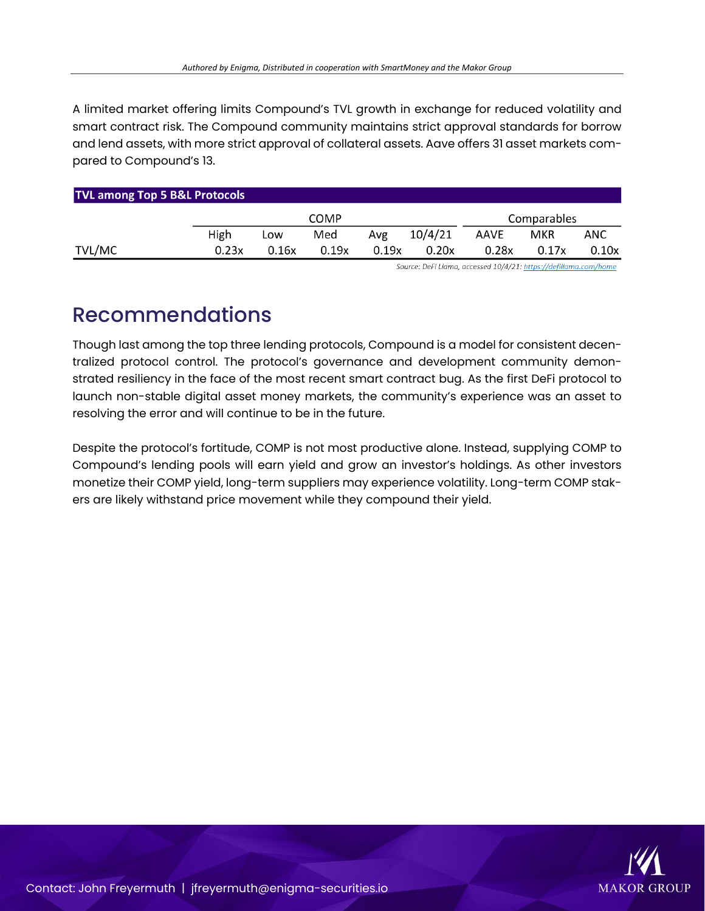A limited market offering limits Compound's TVL growth in exchange for reduced volatility and smart contract risk. The Compound community maintains strict approval standards for borrow and lend assets, with more strict approval of collateral assets. Aave offers 31 asset markets compared to Compound's 13.

| <b>TVL among Top 5 B&amp;L Protocols</b> |             |       |       |       |             |       |       |       |  |
|------------------------------------------|-------------|-------|-------|-------|-------------|-------|-------|-------|--|
|                                          | <b>COMP</b> |       |       |       | Comparables |       |       |       |  |
|                                          | High        | Low   | Med   | Avg   | 10/4/21     | AAVE  | MKR   | ANC   |  |
| TVL/MC                                   | 0.23x       | 0.16x | 0.19x | 0.19x | 0.20x       | 0.28x | 0.17x | 0.10x |  |

Source: DeFi Llama, accessed 10/4/21: https://defillama.com/home

### Recommendations

Though last among the top three lending protocols, Compound is a model for consistent decentralized protocol control. The protocol's governance and development community demonstrated resiliency in the face of the most recent smart contract bug. As the first DeFi protocol to launch non-stable digital asset money markets, the community's experience was an asset to resolving the error and will continue to be in the future.

Despite the protocol's fortitude, COMP is not most productive alone. Instead, supplying COMP to Compound's lending pools will earn yield and grow an investor's holdings. As other investors monetize their COMP yield, long-term suppliers may experience volatility. Long-term COMP stakers are likely withstand price movement while they compound their yield.



Contact: John Freyermuth | jfreyermuth@enigma-securities.io